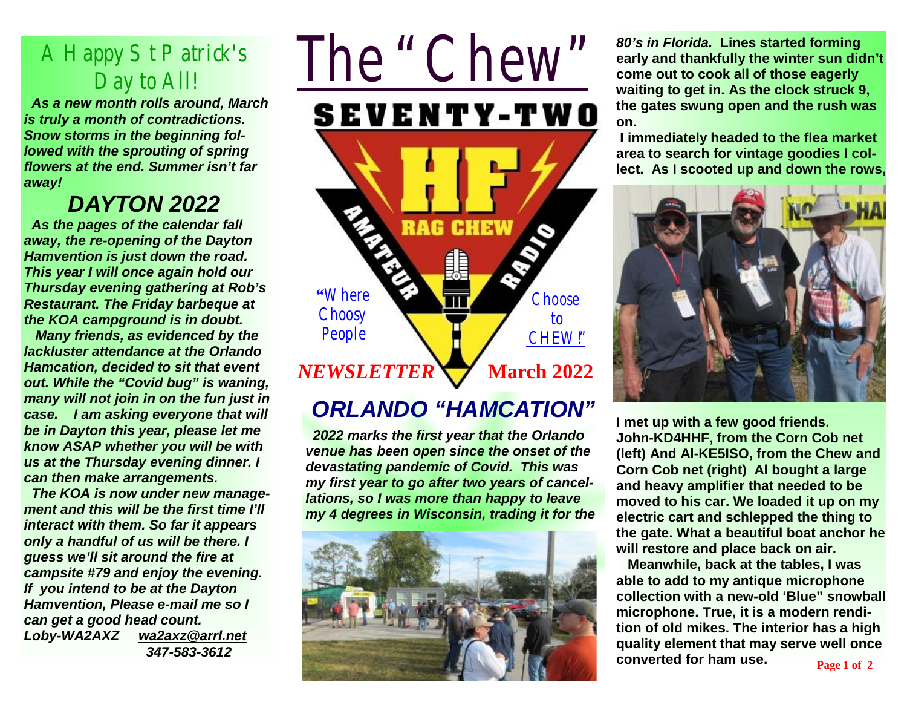## A Happy St Patrick's Day to All*!*

 *As a new month rolls around, March is truly a month of contradictions. Snow storms in the beginning followed with the sprouting of spring flowers at the end. Summer isn't far away!* 

## *DAYTON 2022*

 *As the pages of the calendar fall away, the re-opening of the Dayton Hamvention is just down the road. This year I will once again hold our Thursday evening gathering at Rob's Restaurant. The Friday barbeque at the KOA campground is in doubt.* 

 *Many friends, as evidenced by the lackluster attendance at the Orlando Hamcation, decided to sit that event out. While the "Covid bug" is waning, many will not join in on the fun just in case. I am asking everyone that will be in Dayton this year, please let me know ASAP whether you will be with us at the Thursday evening dinner. I can then make arrangements.* 

 *The KOA is now under new management and this will be the first time I'll interact with them. So far it appears only a handful of us will be there. I guess we'll sit around the fire at campsite #79 and enjoy the evening. If you intend to be at the Dayton Hamvention, Please e-mail me so I can get a good head count. Loby-WA2AXZ [wa2axz@arrl.net](mailto:wa2axz@arrl.net) 347-583-3612*

## *The "Chew"* **SEVENTY-TWO RAG CHEW "**Where **Choose Choosy** to People CHEW!" *NEWSLETTER* **March** 2022

## *ORLANDO "HAMCATION"*

 *2022 marks the first year that the Orlando venue has been open since the onset of the devastating pandemic of Covid. This was my first year to go after two years of cancellations, so I was more than happy to leave my 4 degrees in Wisconsin, trading it for the* 



*80's in Florida.* **Lines started forming early and thankfully the winter sun didn't come out to cook all of those eagerly waiting to get in. As the clock struck 9, the gates swung open and the rush was on.** 

 **I immediately headed to the flea market area to search for vintage goodies I collect. As I scooted up and down the rows,** 



**I met up with a few good friends. John-KD4HHF, from the Corn Cob net (left) And Al-KE5ISO, from the Chew and Corn Cob net (right) Al bought a large and heavy amplifier that needed to be moved to his car. We loaded it up on my electric cart and schlepped the thing to the gate. What a beautiful boat anchor he will restore and place back on air.** 

 **Meanwhile, back at the tables, I was able to add to my antique microphone collection with a new-old 'Blue" snowball microphone. True, it is a modern rendition of old mikes. The interior has a high quality element that may serve well once converted for ham use. Page 1 of 2**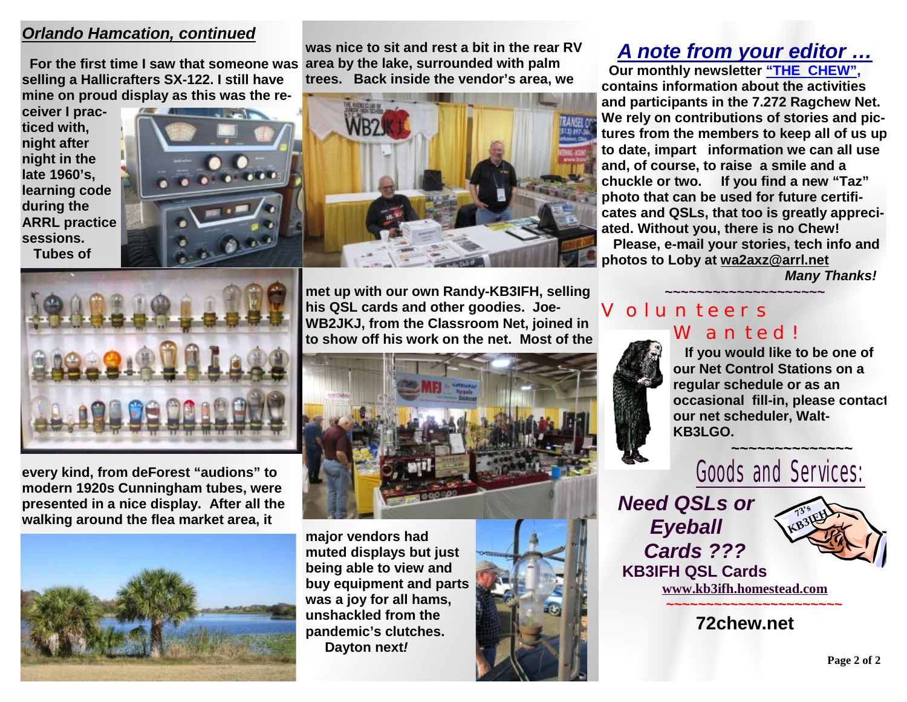#### *Orlando Hamcation, continued*

**area by the lake, surrounded with palm For the first time I saw that someone was selling a Hallicrafters SX-122. I still have mine on proud display as this was the re-**

**ceiver I practiced with, night after night in the late 1960's, learning code during the ARRL practice sessions. Tubes of** 





**was nice to sit and rest a bit in the rear RV** 

**trees. Back inside the vendor's area, we** 

## *A note from your editor …*

 **Our monthly newsletter "THE CHEW", contains information about the activities and participants in the 7.272 Ragchew Net. We rely on contributions of stories and pictures from the members to keep all of us up to date, impart information we can all use and, of course, to raise a smile and a chuckle or two. If you find a new "Taz" photo that can be used for future certificates and QSLs, that too is greatly appreciated. Without you, there is no Chew! Please, e-mail your stories, tech info and photos to Loby at [wa2axz@arrl.net](mailto:wa2axz@arrl.net)** 

*Many Thanks!* 



**every kind, from deForest "audions" to modern 1920s Cunningham tubes, were presented in a nice display. After all the walking around the flea market area, it** 



**met up with our own Randy-KB3IFH, selling his QSL cards and other goodies. Joe-WB2JKJ, from the Classroom Net, joined in to show off his work on the net. Most of the** 



**major vendors had muted displays but just being able to view and buy equipment and parts was a joy for all hams, unshackled from the pandemic's clutches. Dayton next***!* 



#### **~~~~~~~~~~~~~~~~~~~~** Volunteers Wanted!



 **If you would like to be one of our Net Control Stations on a regular schedule or as an occasional fill-in, please contact our net scheduler, Walt-KB3LGO.**



*Need QSLs or Eyeball Cards ???*   **KB3IFH QSL Cards** 



**[www.kb3ifh.homestead.com](http://www.kb3ifh.homestead.com) ~~~~~~~~~~~~~~~~~~~~~~** 

**72chew.net**